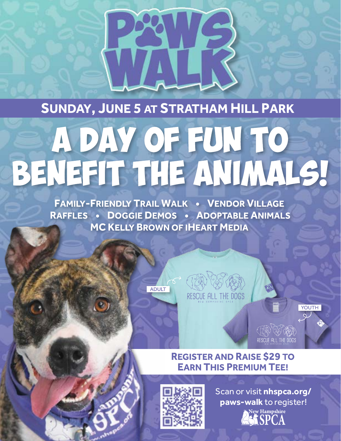#### SUNDAY, JUNE 5 AT STRATHAM HILL PARK

# A DAY OF FUN TO BENEFIT THE ANIMALS!

**FAMILY-FRIENDLY TRAIL WALK . VENDOR VILLAGE** RAFFLES • DOGGIE DEMOS • ADOPTABLE ANIMALS **MC KELLY BROWN OF IHEART MEDIA** 





#### **REGISTER AND RAISE \$29 TO EARN THIS PREMIUM TEE!**



Scan or visit nhspca.org/ paws-walk to register! New Hampshire

RESCUE ALL THE DOGS

YOUTH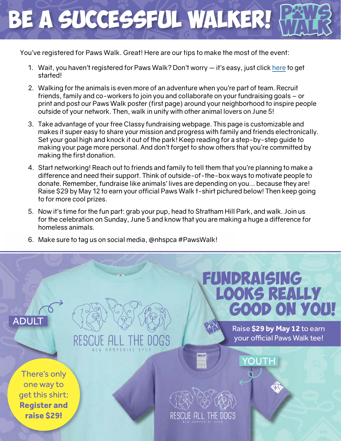## Be a successful walker!

You've registered for Paws Walk. Great! Here are our tips to make the most of the event:

- 1. Wait, you haven't registered for Paws Walk? Don't worry it's easy, just click [here](https://www.classy.org/event/paws-walk-2022/e384310) to get started!
- 2. Walking for the animals is even more of an adventure when you're part of team. Recruit friends, family and co-workers to join you and collaborate on your fundraising goals – or print and post our Paws Walk poster (first page) around your neighborhood to inspire people outside of your network. Then, walk in unity with other animal lovers on June 5!
- 3. Take advantage of your free Classy fundraising webpage. This page is customizable and makes it super easy to share your mission and progress with family and friends electronically. Set your goal high and knock it out of the park! Keep reading for a step-by-step guide to making your page more personal. And don't forget to show others that you're committed by making the first donation.
- 4. Start networking! Reach out to friends and family to tell them that you're planning to make a difference and need their support. Think of outside-of-the-box ways to motivate people to donate. Remember, fundraise like animals' lives are depending on you... because they are! Raise \$29 by May 12 to earn your official Paws Walk t-shirt pictured below! Then keep going to for more cool prizes.
- 5. Now it's time for the fun part: grab your pup, head to Stratham Hill Park, and walk. Join us for the celebration on Sunday, June 5 and know that you are making a huge a difference for homeless animals.
- 6. Make sure to tag us on social media, @nhspca #PawsWalk!

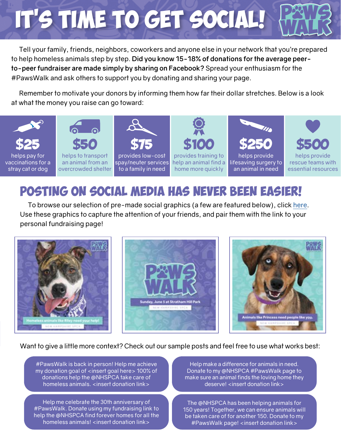### IT'S TIME TO GET SOCIAL!

Tell your family, friends, neighbors, coworkers and anyone else in your network that you're prepared to help homeless animals step by step. **Did you know 15-18% of donations for the average peerto-peer fundraiser are made simply by sharing on Facebook?** Spread your enthusiasm for the #PawsWalk and ask others to support you by donating and sharing your page.

Remember to motivate your donors by informing them how far their dollar stretches. Below is a look at what the money you raise can go toward:



### Posting on social media has never been easier!

To browse our selection of pre-made social graphics (a few are featured below), click [here.](https://nhspca.org/paws-walk-digital-toolkit/) Use these graphics to capture the attention of your friends, and pair them with the link to your personal fundraising page!



Want to give a little more context? Check out our sample posts and feel free to use what works best:

#PawsWalk is back in person! Help me achieve my donation goal of <insert goal here> 100% of donations help the @NHSPCA take care of homeless animals. <insert donation link>

Help me celebrate the 30th anniversary of #PawsWalk. Donate using my fundraising link to help the @NHSPCA find forever homes for all the homeless animals! <insert donation link>

Help make a difference for animals in need. Donate to my @NHSPCA #PawsWalk page to make sure an animal finds the loving home they deserve! <insert donation link>

The @NHSPCA has been helping animals for 150 years! Together, we can ensure animals will be taken care of for another 150. Donate to my #PawsWalk page! <insert donation link>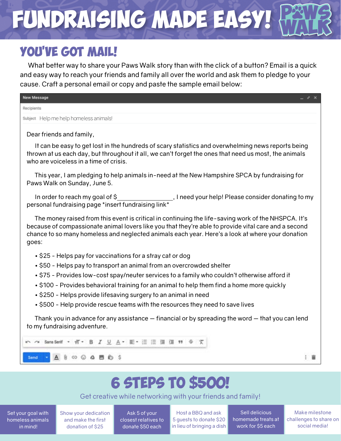### FUNDRAISING MADE EASY!

#### YOU'VE GOT MAIL!

What better way to share your Paws Walk story than with the click of a button? Email is a quick and easy way to reach your friends and family all over the world and ask them to pledge to your cause. Craft a personal email or copy and paste the sample email below:

| <b>New Message</b>                                                                                                                                                                                                                                                                                                       |     |
|--------------------------------------------------------------------------------------------------------------------------------------------------------------------------------------------------------------------------------------------------------------------------------------------------------------------------|-----|
| Recipients                                                                                                                                                                                                                                                                                                               |     |
| Subject Help me help homeless animals!                                                                                                                                                                                                                                                                                   |     |
| Dear friends and family,                                                                                                                                                                                                                                                                                                 |     |
| It can be easy to get lost in the hundreds of scary statistics and overwhelming news reports being<br>thrown at us each day, but throughout it all, we can't forget the ones that need us most, the animals<br>who are voiceless in a time of crisis.                                                                    |     |
| This year, I am pledging to help animals in-need at the New Hampshire SPCA by fundraising for<br>Paws Walk on Sunday, June 5.                                                                                                                                                                                            |     |
| In order to reach my goal of \$____________________, I need your help! Please consider donating to my<br>personal fundraising page *insert fundraising link*                                                                                                                                                             |     |
| The money raised from this event is critical in continuing the life-saving work of the NHSPCA. It's<br>because of compassionate animal lovers like you that they're able to provide vital care and a second<br>chance to so many homeless and neglected animals each year. Here's a look at where your donation<br>goes: |     |
| • \$25 - Helps pay for vaccinations for a stray cat or dog                                                                                                                                                                                                                                                               |     |
| • \$50 - Helps pay to transport an animal from an overcrowded shelter                                                                                                                                                                                                                                                    |     |
| • \$75 - Provides low-cost spay/neuter services to a family who couldn't otherwise afford it                                                                                                                                                                                                                             |     |
| • \$100 - Provides behavioral training for an animal to help them find a home more quickly                                                                                                                                                                                                                               |     |
| • \$250 - Helps provide lifesaving surgery to an animal in need                                                                                                                                                                                                                                                          |     |
| • \$500 - Help provide rescue teams with the resources they need to save lives                                                                                                                                                                                                                                           |     |
| Thank you in advance for any assistance — financial or by spreading the word — that you can lend<br>to my fundraising adventure.                                                                                                                                                                                         |     |
| Sans Senif · iT · B <i>I</i> U A · IE · iE : 三 : 三 : 三 : 1 · 1 · 6 · 文                                                                                                                                                                                                                                                   |     |
| $A \circledcirc \circledcirc A \otimes \bullet \circledcirc$<br>Send                                                                                                                                                                                                                                                     | - 8 |
|                                                                                                                                                                                                                                                                                                                          |     |
| <b>6 STEPS TO \$500!</b>                                                                                                                                                                                                                                                                                                 |     |

Get creative while networking with your friends and family!

Set your goal with homeless animals in mind!

Show your dedication and make the first donation of \$25

Ask 5 of your closest relatives to donate \$50 each

Host a BBQ and ask 5 guests to donate \$20 in lieu of bringing a dish

Sell delicious homemade treats at work for \$5 each

Make milestone challenges to share on social media!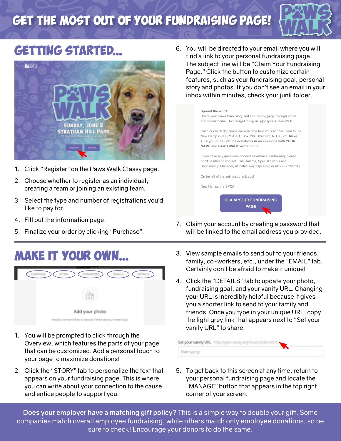### Get the most out of your fundraising page!



### Getting started...



- 1. Click "Register" on the Paws Walk Classy page.
- 2. Choose whether to register as an individual, creating a team or joining an existing team.
- 3. Select the type and number of registrations you'd like to pay for.
- 4. Fill out the information page.
- 5. Finalize your order by clicking "Purchase".

### MAKE IT YOUR OWN...



- 1. You will be prompted to click through the Overview, which features the parts of your page that can be customized. Add a personal touch to your page to maximize donations!
- 2. Click the "STORY" tab to personalize the text that appears on your fundraising page. This is where you can write about your connection to the cause and entice people to support you.

6. You will be directed to your email where you will find a link to your personal fundraising page. The subject line will be "Claim Your Fundraising Page." Click the button to customize certain features, such as your fundraising goal, personal story and photos. If you don't see an email in your inbox within minutes, check your junk folder.



- 7. Claim your account by creating a password that will be linked to the email address you provided.
- 3. View sample emails to send out to your friends, family, co-workers, etc., under the "EMAIL" tab. Certainly don't be afraid to make it unique!
- 4. Click the "DETAILS" tab to update your photo, fundraising goal, and your vanity URL. Changing your URL is incredibly helpful because it gives you a shorter link to send to your family and friends. Once you type in your unique URL, copy the light grey link that appears next to "Set your vanity URL" to share.



5. To get back to this screen at any time, return to your personal fundraising page and locate the "MANAGE" button that appears in the top right corner of your screen.

**Does your employer have a matching gift policy?** This is a simple way to double your gift. Some companies match overall employee fundraising, while others match only employee donations, so be sure to check! Encourage your donors to do the same.